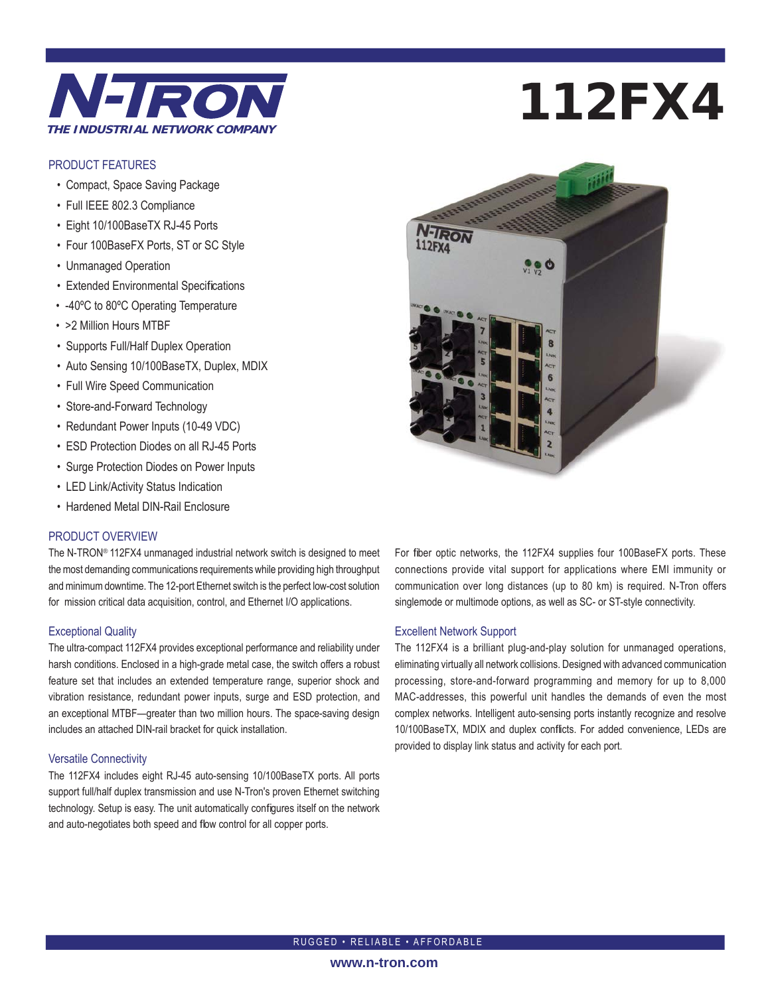

#### PRODUCT FEATURES

- Compact, Space Saving Package
- Full IEEE 802.3 Compliance
- Eight 10/100BaseTX RJ-45 Ports
- Four 100BaseFX Ports, ST or SC Style
- Unmanaged Operation
- Extended Environmental Specifications
- -40ºC to 80ºC Operating Temperature
- >2 Million Hours MTBF
- Supports Full/Half Duplex Operation
- Auto Sensing 10/100BaseTX, Duplex, MDIX
- Full Wire Speed Communication
- Store-and-Forward Technology
- Redundant Power Inputs (10-49 VDC)
- ESD Protection Diodes on all RJ-45 Ports
- Surge Protection Diodes on Power Inputs
- LED Link/Activity Status Indication
- Hardened Metal DIN-Rail Enclosure

#### PRODUCT OVERVIEW

The N-TRON® 112FX4 unmanaged industrial network switch is designed to meet the most demanding communications requirements while providing high throughput and minimum downtime. The 12-port Ethernet switch is the perfect low-cost solution for mission critical data acquisition, control, and Ethernet I/O applications.

#### Exceptional Quality

The ultra-compact 112FX4 provides exceptional performance and reliability under harsh conditions. Enclosed in a high-grade metal case, the switch offers a robust feature set that includes an extended temperature range, superior shock and vibration resistance, redundant power inputs, surge and ESD protection, and an exceptional MTBF—greater than two million hours. The space-saving design includes an attached DIN-rail bracket for quick installation.

#### Versatile Connectivity

The 112FX4 includes eight RJ-45 auto-sensing 10/100BaseTX ports. All ports support full/half duplex transmission and use N-Tron's proven Ethernet switching technology. Setup is easy. The unit automatically configures itself on the network and auto-negotiates both speed and flow control for all copper ports.

# 112FX4



For fiber optic networks, the 112FX4 supplies four 100BaseFX ports. These connections provide vital support for applications where EMI immunity or communication over long distances (up to 80 km) is required. N-Tron offers singlemode or multimode options, as well as SC- or ST-style connectivity.

#### Excellent Network Support

The 112FX4 is a brilliant plug-and-play solution for unmanaged operations, eliminating virtually all network collisions. Designed with advanced communication processing, store-and-forward programming and memory for up to 8,000 MAC-addresses, this powerful unit handles the demands of even the most complex networks. Intelligent auto-sensing ports instantly recognize and resolve 10/100BaseTX, MDIX and duplex conflicts. For added convenience, LEDs are provided to display link status and activity for each port.

RUGGED • RELIABLE • AFFORDABLE

#### **www.n-tron.com**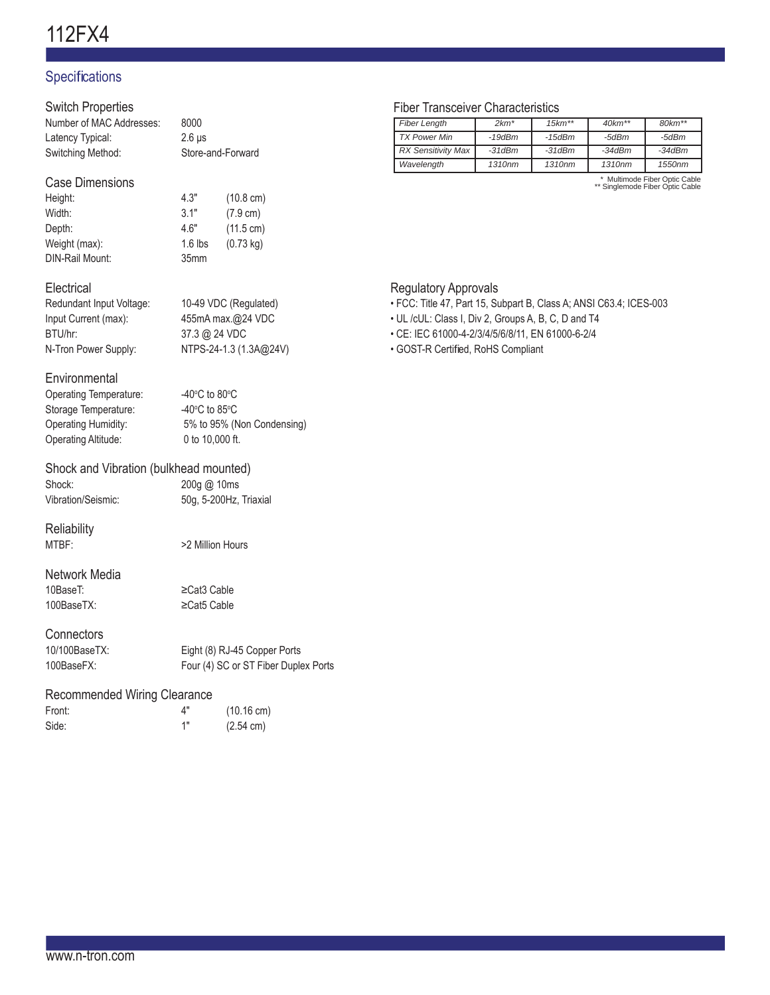# 112FX4

# **Specifications**

# Switch Properties

| Number of MAC Addresses: | 8000              |
|--------------------------|-------------------|
| Latency Typical:         | $2.6$ us          |
| Switching Method:        | Store-and-Forward |

### Case Dimensions

| 4.3"      | $(10.8 \text{ cm})$ |
|-----------|---------------------|
| 3.1"      | $(7.9 \text{ cm})$  |
| 4.6"      | $(11.5 \text{ cm})$ |
| $1.6$ lbs | $(0.73 \text{ kg})$ |
| 35mm      |                     |
|           |                     |

# **Electrical**

| Redundant Input Voltage: | 10-49 VDC (Regulated)  |
|--------------------------|------------------------|
| Input Current (max):     | 455mA max.@24 VDC      |
| BTU/hr:                  | 37.3 @ 24 VDC          |
| N-Tron Power Supply:     | NTPS-24-1.3 (1.3A@24V) |
|                          |                        |

# **Environmental**

| -40 $\degree$ C to 80 $\degree$ C |
|-----------------------------------|
| -40 $\degree$ C to 85 $\degree$ C |
| 5% to 95% (No                     |
| 0 to 10,000 ft.                   |
|                                   |

5% to 95% (Non Condensing)

# Shock and Vibration (bulkhead mounted)

| Shock:             |  |
|--------------------|--|
| Vibration/Seismic: |  |

# **Reliability**

MTBF: >2 Million Hours

#### Network Media 10BaseT: ≥Cat3 Cable

100BaseTX: ≥Cat5 Cable

200g @ 10ms 50g, 5-200Hz, Triaxial

# **Connectors**

| 10/100BaseTX: | Eight (8) RJ-45 Copper Ports         |
|---------------|--------------------------------------|
| 100BaseFX:    | Four (4) SC or ST Fiber Duplex Ports |

#### Recommended Wiring Clearance

| Front: | Δ" | $(10.16 \text{ cm})$ |
|--------|----|----------------------|
| Side:  | 1" | $(2.54 \text{ cm})$  |

# Fiber Transceiver Characteristics

| <b>Fiber Length</b>       | $2km*$             | $15km**$ | $40km**$ | $80km**$                      |
|---------------------------|--------------------|----------|----------|-------------------------------|
|                           |                    |          |          |                               |
| <b>TX Power Min</b>       | $-19$ d $Bm$       | -15dBm   | -5dBm    | -5dBm                         |
| <b>RX Sensitivity Max</b> | $-31$ d $Bm$       | $-31dBm$ | $-34dBm$ | $-34dBm$                      |
| Wavelength                | 1310 <sub>nm</sub> | 1310nm   | 1310nm   | 1550 <sub>nm</sub>            |
|                           |                    |          |          | * Multimodo Fibor Optic Cablo |

\* Multimode Fiber Optic Cable \*\* Singlemode Fiber Optic Cable

# Regulatory Approvals

- FCC: Title 47, Part 15, Subpart B, Class A; ANSI C63.4; ICES-003
- UL /cUL: Class I, Div 2, Groups A, B, C, D and T4
- CE: IEC 61000-4-2/3/4/5/6/8/11, EN 61000-6-2/4
- GOST-R Certified, RoHS Compliant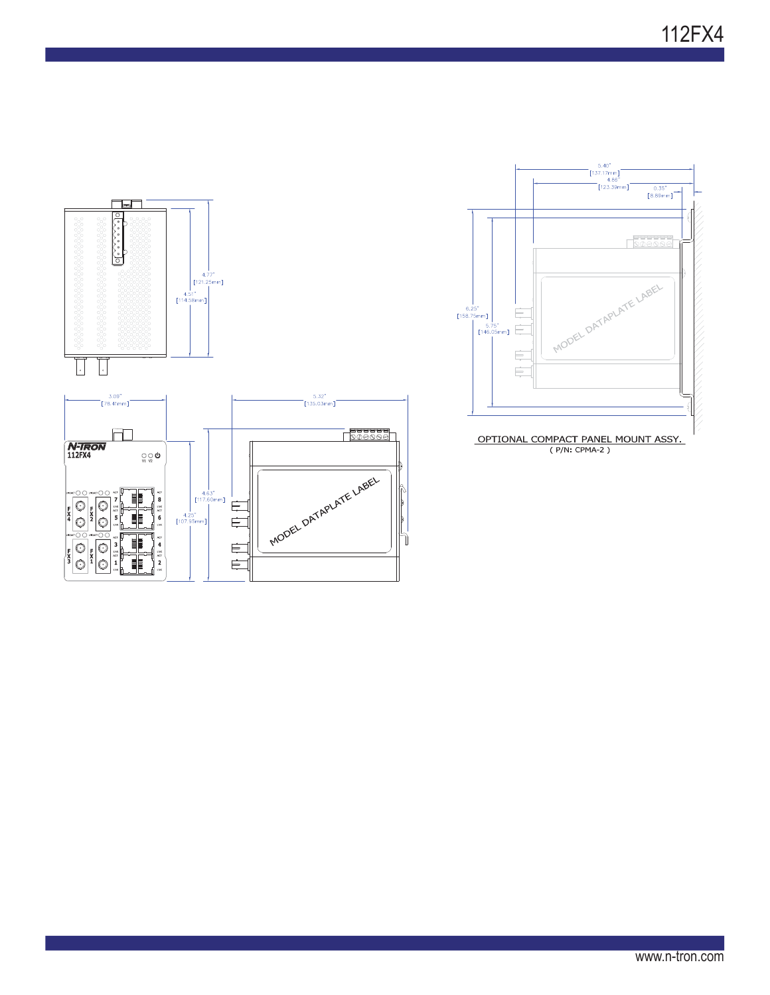